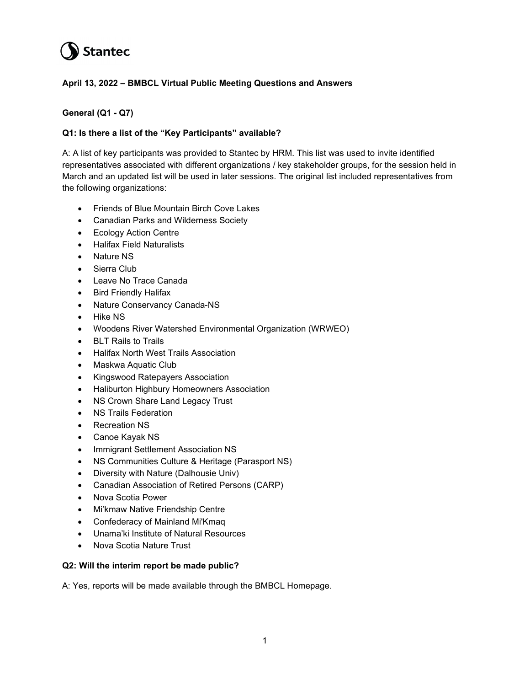# **Stantec**

# **April 13, 2022 – BMBCL Virtual Public Meeting Questions and Answers**

# **General (Q1 - Q7)**

# **Q1: Is there a list of the "Key Participants" available?**

A: A list of key participants was provided to Stantec by HRM. This list was used to invite identified representatives associated with different organizations / key stakeholder groups, for the session held in March and an updated list will be used in later sessions. The original list included representatives from the following organizations:

- Friends of Blue Mountain Birch Cove Lakes
- Canadian Parks and Wilderness Society
- Ecology Action Centre
- Halifax Field Naturalists
- Nature NS
- Sierra Club
- Leave No Trace Canada
- Bird Friendly Halifax
- Nature Conservancy Canada-NS
- Hike NS
- Woodens River Watershed Environmental Organization (WRWEO)
- BLT Rails to Trails
- Halifax North West Trails Association
- Maskwa Aquatic Club
- Kingswood Ratepayers Association
- Haliburton Highbury Homeowners Association
- NS Crown Share Land Legacy Trust
- NS Trails Federation
- Recreation NS
- Canoe Kayak NS
- Immigrant Settlement Association NS
- NS Communities Culture & Heritage (Parasport NS)
- Diversity with Nature (Dalhousie Univ)
- Canadian Association of Retired Persons (CARP)
- Nova Scotia Power
- Mi'kmaw Native Friendship Centre
- Confederacy of Mainland Mi'Kmaq
- Unama'ki Institute of Natural Resources
- Nova Scotia Nature Trust

## **Q2: Will the interim report be made public?**

A: Yes, reports will be made available through the BMBCL Homepage.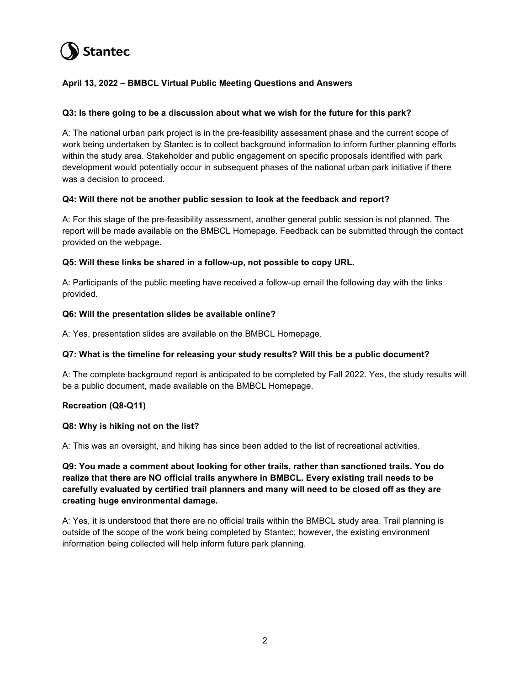# **Stantec**

# **April 13, 2022 – BMBCL Virtual Public Meeting Questions and Answers**

## **Q3: Is there going to be a discussion about what we wish for the future for this park?**

A: The national urban park project is in the pre-feasibility assessment phase and the current scope of work being undertaken by Stantec is to collect background information to inform further planning efforts within the study area. Stakeholder and public engagement on specific proposals identified with park development would potentially occur in subsequent phases of the national urban park initiative if there was a decision to proceed.

#### **Q4: Will there not be another public session to look at the feedback and report?**

A: For this stage of the pre-feasibility assessment, another general public session is not planned. The report will be made available on the BMBCL Homepage. Feedback can be submitted through the contact provided on the webpage.

#### **Q5: Will these links be shared in a follow-up, not possible to copy URL.**

A: Participants of the public meeting have received a follow-up email the following day with the links provided.

#### **Q6: Will the presentation slides be available online?**

A: Yes, presentation slides are available on the BMBCL Homepage.

#### **Q7: What is the timeline for releasing your study results? Will this be a public document?**

A: The complete background report is anticipated to be completed by Fall 2022. Yes, the study results will be a public document, made available on the BMBCL Homepage.

## **Recreation (Q8-Q11)**

#### **Q8: Why is hiking not on the list?**

A: This was an oversight, and hiking has since been added to the list of recreational activities.

**Q9: You made a comment about looking for other trails, rather than sanctioned trails. You do realize that there are NO official trails anywhere in BMBCL. Every existing trail needs to be carefully evaluated by certified trail planners and many will need to be closed off as they are creating huge environmental damage.**

A: Yes, it is understood that there are no official trails within the BMBCL study area. Trail planning is outside of the scope of the work being completed by Stantec; however, the existing environment information being collected will help inform future park planning.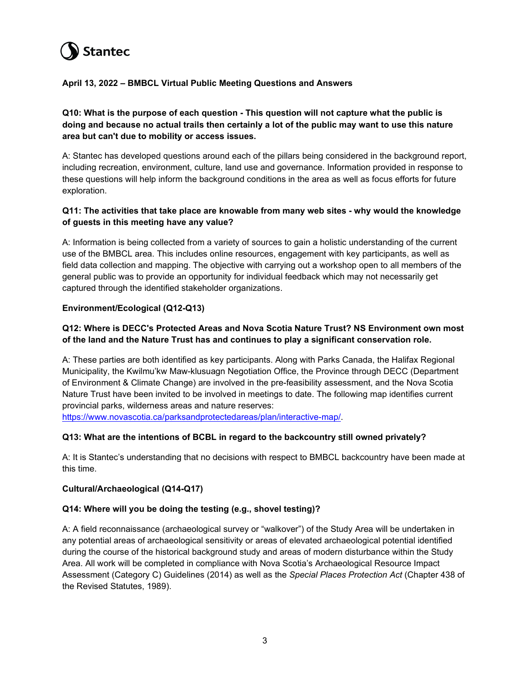

## **April 13, 2022 – BMBCL Virtual Public Meeting Questions and Answers**

**Q10: What is the purpose of each question - This question will not capture what the public is doing and because no actual trails then certainly a lot of the public may want to use this nature area but can't due to mobility or access issues.** 

A: Stantec has developed questions around each of the pillars being considered in the background report, including recreation, environment, culture, land use and governance. Information provided in response to these questions will help inform the background conditions in the area as well as focus efforts for future exploration.

## **Q11: The activities that take place are knowable from many web sites - why would the knowledge of guests in this meeting have any value?**

A: Information is being collected from a variety of sources to gain a holistic understanding of the current use of the BMBCL area. This includes online resources, engagement with key participants, as well as field data collection and mapping. The objective with carrying out a workshop open to all members of the general public was to provide an opportunity for individual feedback which may not necessarily get captured through the identified stakeholder organizations.

## **Environment/Ecological (Q12-Q13)**

## **Q12: Where is DECC's Protected Areas and Nova Scotia Nature Trust? NS Environment own most of the land and the Nature Trust has and continues to play a significant conservation role.**

A: These parties are both identified as key participants. Along with Parks Canada, the Halifax Regional Municipality, the Kwilmu'kw Maw-klusuagn Negotiation Office, the Province through DECC (Department of Environment & Climate Change) are involved in the pre-feasibility assessment, and the Nova Scotia Nature Trust have been invited to be involved in meetings to date. The following map identifies current provincial parks, wilderness areas and nature reserves:

[https://www.novascotia.ca/parksandprotectedareas/plan/interactive-map/.](https://can01.safelinks.protection.outlook.com/?url=https%3A%2F%2Fwww.novascotia.ca%2Fparksandprotectedareas%2Fplan%2Finteractive-map%2F&data=04%7C01%7Cjustin.forbes%40stantec.com%7C2b2cd1e365a9450661a508da1d4c8ff4%7C413c6f2c219a469297d3f2b4d80281e7%7C0%7C0%7C637854511947581141%7CUnknown%7CTWFpbGZsb3d8eyJWIjoiMC4wLjAwMDAiLCJQIjoiV2luMzIiLCJBTiI6Ik1haWwiLCJXVCI6Mn0%3D%7C3000&sdata=3DjUzMjb8xx5qvtwTXz49hKIAGXN%2FagUe9LKENY6opg%3D&reserved=0)

## **Q13: What are the intentions of BCBL in regard to the backcountry still owned privately?**

A: It is Stantec's understanding that no decisions with respect to BMBCL backcountry have been made at this time.

#### **Cultural/Archaeological (Q14-Q17)**

## **Q14: Where will you be doing the testing (e.g., shovel testing)?**

A: A field reconnaissance (archaeological survey or "walkover") of the Study Area will be undertaken in any potential areas of archaeological sensitivity or areas of elevated archaeological potential identified during the course of the historical background study and areas of modern disturbance within the Study Area. All work will be completed in compliance with Nova Scotia's Archaeological Resource Impact Assessment (Category C) Guidelines (2014) as well as the *Special Places Protection Act* (Chapter 438 of the Revised Statutes, 1989).